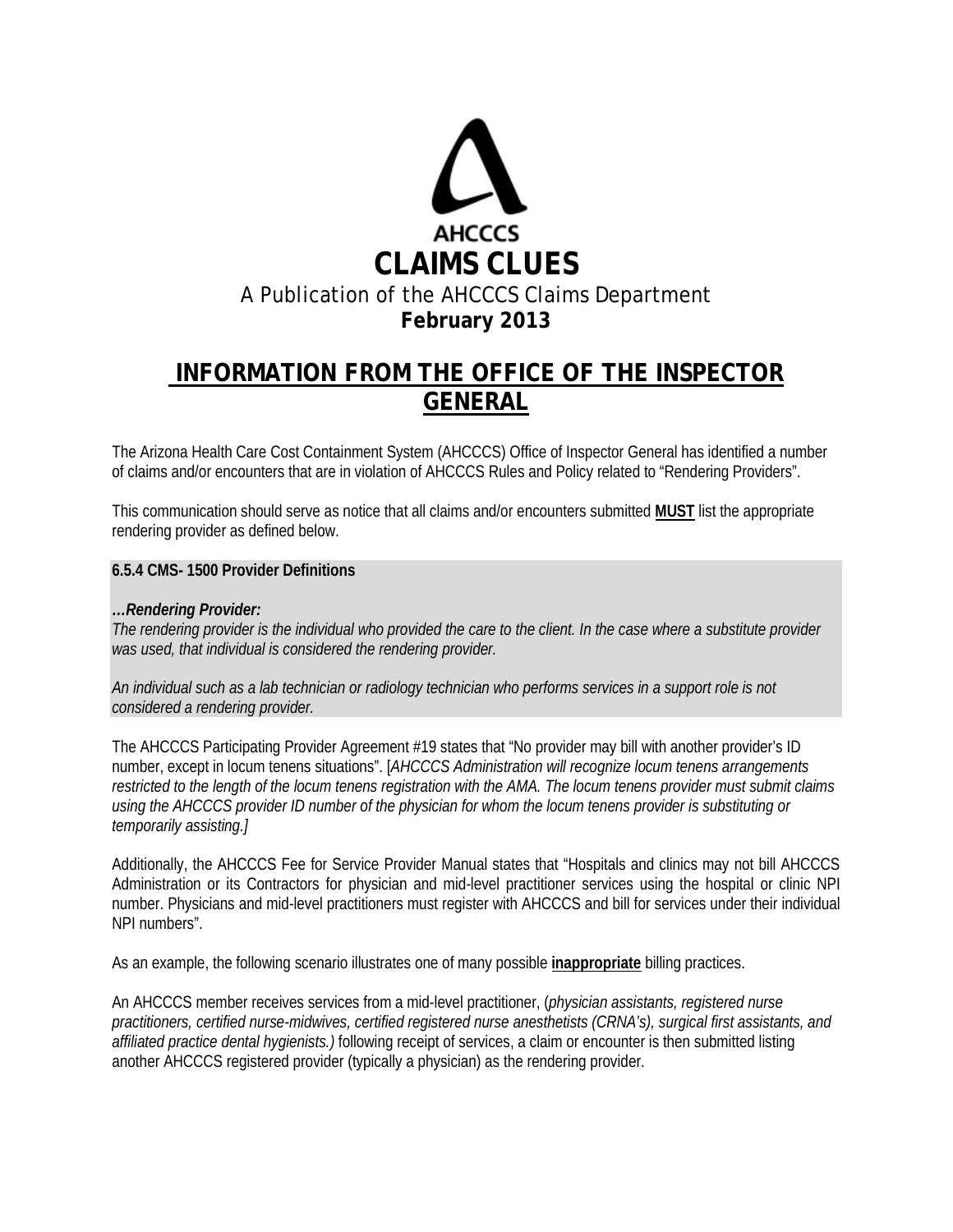

# **INFORMATION FROM THE OFFICE OF THE INSPECTOR GENERAL**

The Arizona Health Care Cost Containment System (AHCCCS) Office of Inspector General has identified a number of claims and/or encounters that are in violation of AHCCCS Rules and Policy related to "Rendering Providers".

This communication should serve as notice that all claims and/or encounters submitted **MUST** list the appropriate rendering provider as defined below.

#### **6.5.4 CMS- 1500 Provider Definitions**

#### *…Rendering Provider:*

*The rendering provider is the individual who provided the care to the client. In the case where a substitute provider was used, that individual is considered the rendering provider.* 

*An individual such as a lab technician or radiology technician who performs services in a support role is not considered a rendering provider.* 

The AHCCCS Participating Provider Agreement #19 states that "No provider may bill with another provider's ID number, except in locum tenens situations". [*AHCCCS Administration will recognize locum tenens arrangements restricted to the length of the locum tenens registration with the AMA. The locum tenens provider must submit claims using the AHCCCS provider ID number of the physician for whom the locum tenens provider is substituting or temporarily assisting.]*

Additionally, the AHCCCS Fee for Service Provider Manual states that "Hospitals and clinics may not bill AHCCCS Administration or its Contractors for physician and mid-level practitioner services using the hospital or clinic NPI number. Physicians and mid-level practitioners must register with AHCCCS and bill for services under their individual NPI numbers".

As an example, the following scenario illustrates one of many possible **inappropriate** billing practices.

An AHCCCS member receives services from a mid-level practitioner, (*physician assistants, registered nurse practitioners, certified nurse-midwives, certified registered nurse anesthetists (CRNA's), surgical first assistants, and affiliated practice dental hygienists.)* following receipt of services, a claim or encounter is then submitted listing another AHCCCS registered provider (typically a physician) as the rendering provider.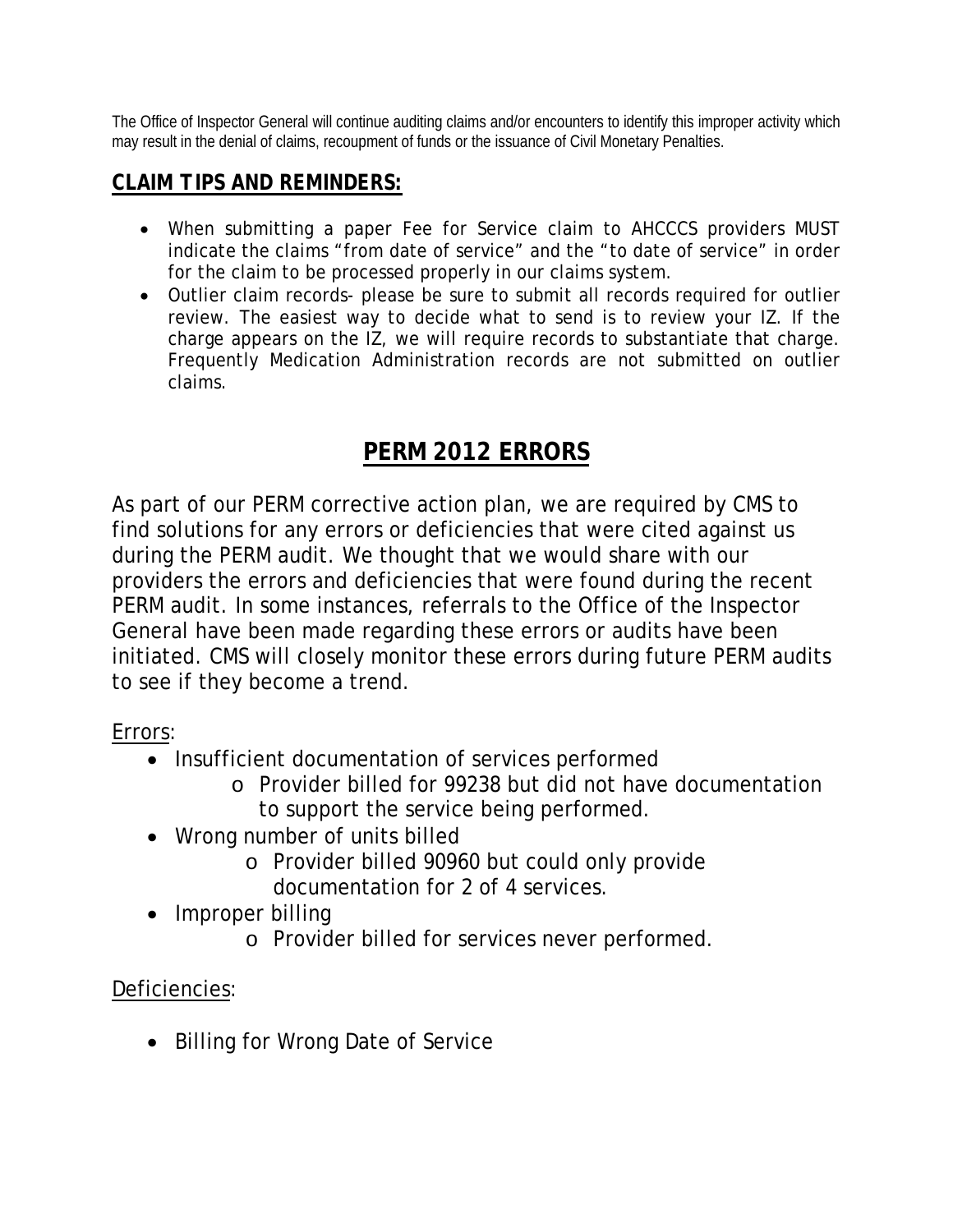The Office of Inspector General will continue auditing claims and/or encounters to identify this improper activity which may result in the denial of claims, recoupment of funds or the issuance of Civil Monetary Penalties.

## *CLAIM TIPS AND REMINDERS:*

- When submitting a paper Fee for Service claim to AHCCCS providers MUST indicate the claims "from date of service" and the "to date of service" in order for the claim to be processed properly in our claims system.
- Outlier claim records- please be sure to submit all records required for outlier review. The easiest way to decide what to send is to review your IZ. If the charge appears on the IZ, we will require records to substantiate that charge. Frequently Medication Administration records are not submitted on outlier claims.

## **PERM 2012 ERRORS**

As part of our PERM corrective action plan, we are required by CMS to find solutions for any errors or deficiencies that were cited against us during the PERM audit. We thought that we would share with our providers the errors and deficiencies that were found during the recent PERM audit. In some instances, referrals to the Office of the Inspector General have been made regarding these errors or audits have been initiated. CMS will closely monitor these errors during future PERM audits to see if they become a trend.

Errors:

- Insufficient documentation of services performed
	- o Provider billed for 99238 but did not have documentation to support the service being performed.
- Wrong number of units billed
	- o Provider billed 90960 but could only provide documentation for 2 of 4 services.
- Improper billing
	- o Provider billed for services never performed.

## Deficiencies:

• Billing for Wrong Date of Service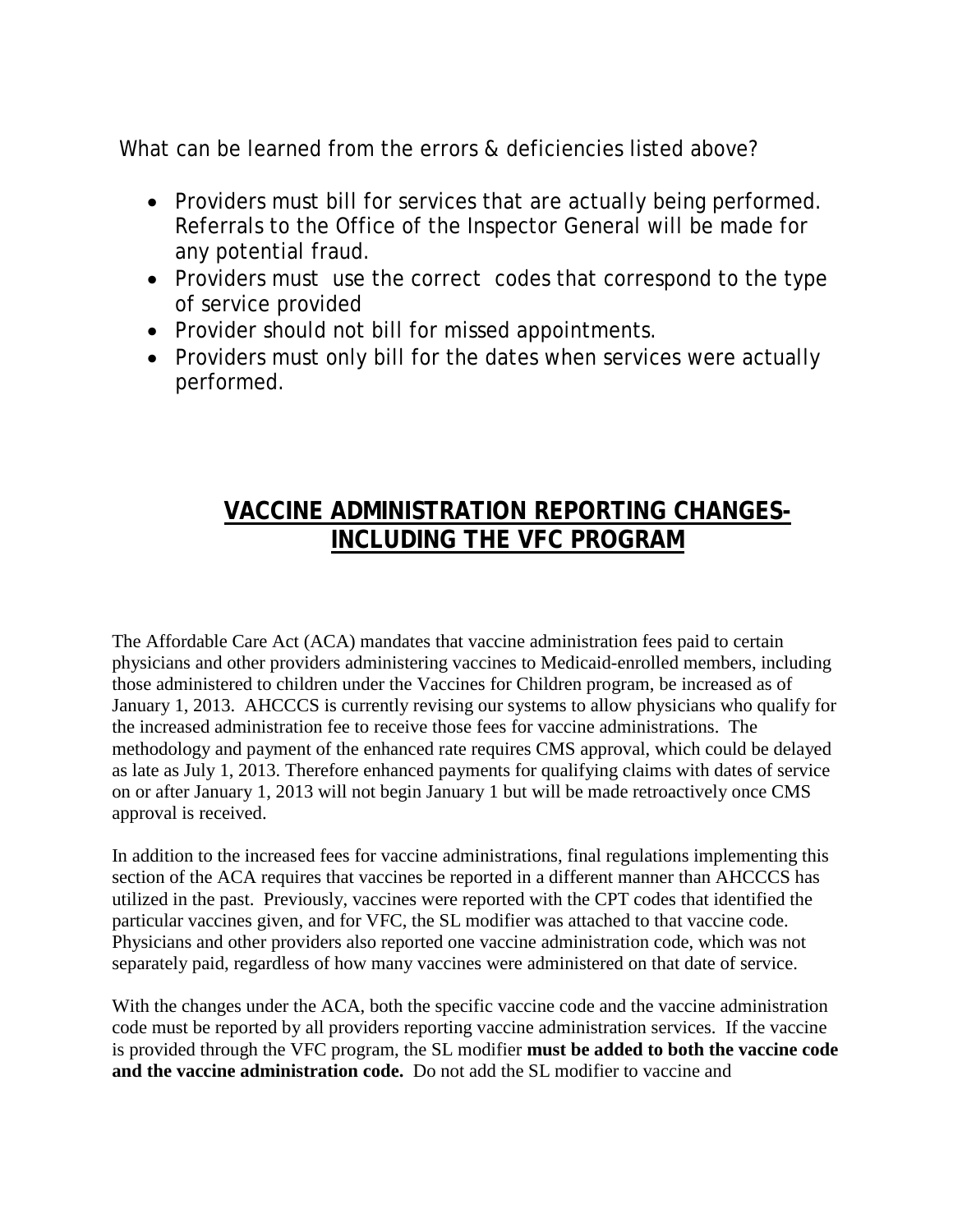What can be learned from the errors & deficiencies listed above?

- Providers must bill for services that are actually being performed. Referrals to the Office of the Inspector General will be made for any potential fraud.
- Providers must use the correct codes that correspond to the type of service provided
- Provider should not bill for missed appointments.
- Providers must only bill for the dates when services were actually performed.

# **VACCINE ADMINISTRATION REPORTING CHANGES-INCLUDING THE VFC PROGRAM**

The Affordable Care Act (ACA) mandates that vaccine administration fees paid to certain physicians and other providers administering vaccines to Medicaid-enrolled members, including those administered to children under the Vaccines for Children program, be increased as of January 1, 2013. AHCCCS is currently revising our systems to allow physicians who qualify for the increased administration fee to receive those fees for vaccine administrations. The methodology and payment of the enhanced rate requires CMS approval, which could be delayed as late as July 1, 2013. Therefore enhanced payments for qualifying claims with dates of service on or after January 1, 2013 will not begin January 1 but will be made retroactively once CMS approval is received.

In addition to the increased fees for vaccine administrations, final regulations implementing this section of the ACA requires that vaccines be reported in a different manner than AHCCCS has utilized in the past. Previously, vaccines were reported with the CPT codes that identified the particular vaccines given, and for VFC, the SL modifier was attached to that vaccine code. Physicians and other providers also reported one vaccine administration code, which was not separately paid, regardless of how many vaccines were administered on that date of service.

With the changes under the ACA, both the specific vaccine code and the vaccine administration code must be reported by all providers reporting vaccine administration services. If the vaccine is provided through the VFC program, the SL modifier **must be added to both the vaccine code and the vaccine administration code.** Do not add the SL modifier to vaccine and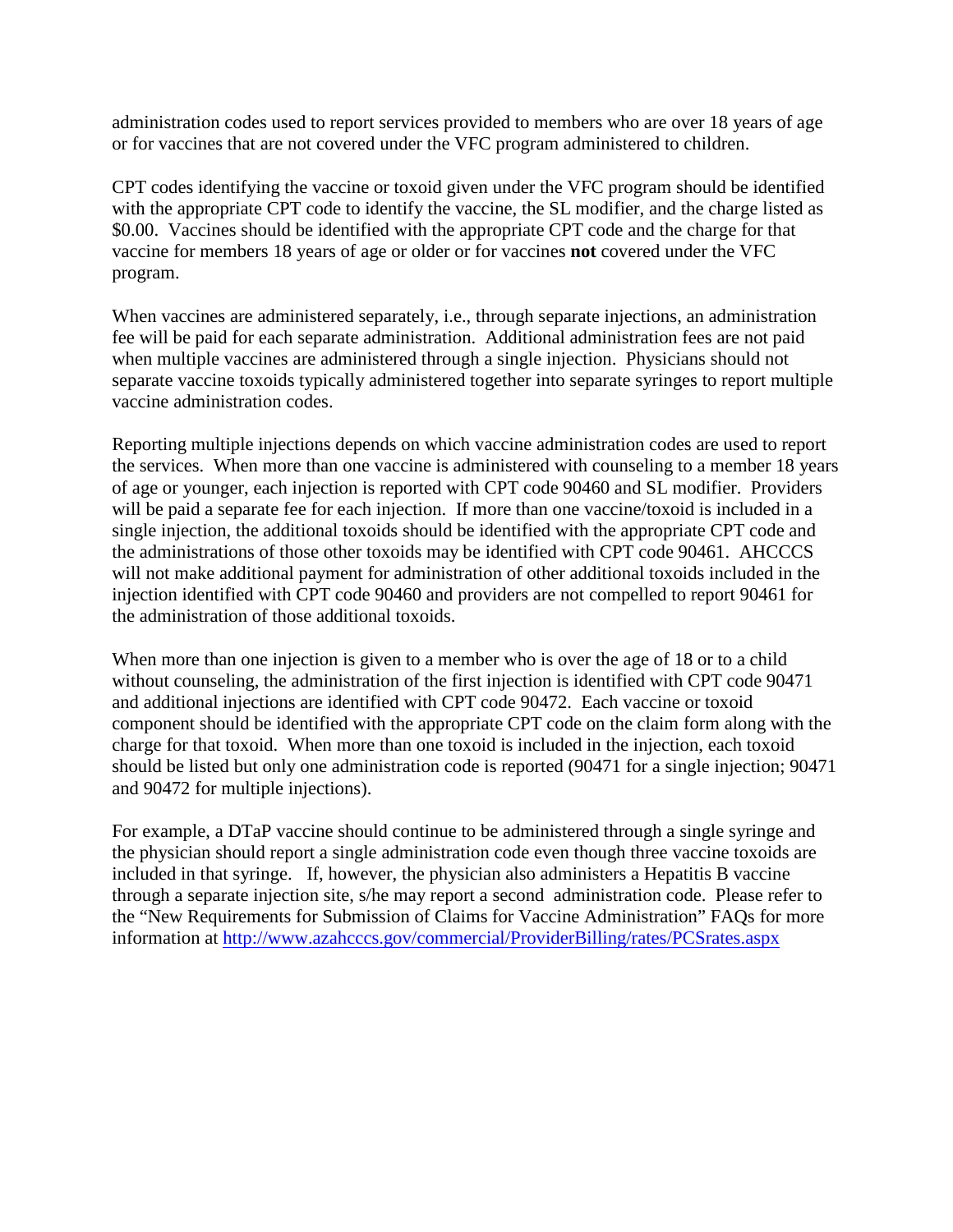administration codes used to report services provided to members who are over 18 years of age or for vaccines that are not covered under the VFC program administered to children.

CPT codes identifying the vaccine or toxoid given under the VFC program should be identified with the appropriate CPT code to identify the vaccine, the SL modifier, and the charge listed as \$0.00. Vaccines should be identified with the appropriate CPT code and the charge for that vaccine for members 18 years of age or older or for vaccines **not** covered under the VFC program.

When vaccines are administered separately, i.e., through separate injections, an administration fee will be paid for each separate administration. Additional administration fees are not paid when multiple vaccines are administered through a single injection. Physicians should not separate vaccine toxoids typically administered together into separate syringes to report multiple vaccine administration codes.

Reporting multiple injections depends on which vaccine administration codes are used to report the services. When more than one vaccine is administered with counseling to a member 18 years of age or younger, each injection is reported with CPT code 90460 and SL modifier. Providers will be paid a separate fee for each injection. If more than one vaccine/toxoid is included in a single injection, the additional toxoids should be identified with the appropriate CPT code and the administrations of those other toxoids may be identified with CPT code 90461. AHCCCS will not make additional payment for administration of other additional toxoids included in the injection identified with CPT code 90460 and providers are not compelled to report 90461 for the administration of those additional toxoids.

When more than one injection is given to a member who is over the age of 18 or to a child without counseling, the administration of the first injection is identified with CPT code 90471 and additional injections are identified with CPT code 90472. Each vaccine or toxoid component should be identified with the appropriate CPT code on the claim form along with the charge for that toxoid. When more than one toxoid is included in the injection, each toxoid should be listed but only one administration code is reported (90471 for a single injection; 90471 and 90472 for multiple injections).

For example, a DTaP vaccine should continue to be administered through a single syringe and the physician should report a single administration code even though three vaccine toxoids are included in that syringe. If, however, the physician also administers a Hepatitis B vaccine through a separate injection site, s/he may report a second administration code. Please refer to the "New Requirements for Submission of Claims for Vaccine Administration" FAQs for more information at<http://www.azahcccs.gov/commercial/ProviderBilling/rates/PCSrates.aspx>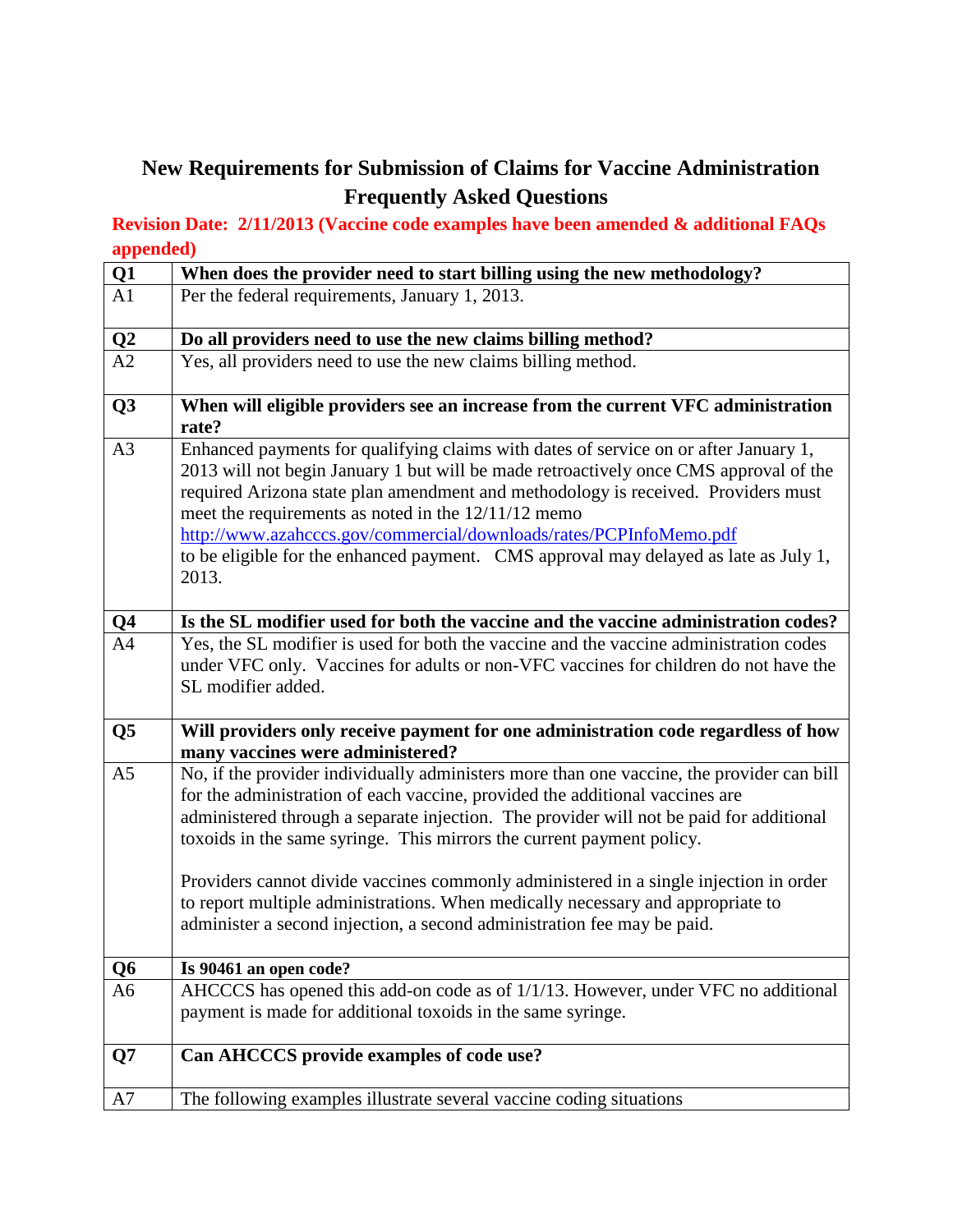## **New Requirements for Submission of Claims for Vaccine Administration Frequently Asked Questions**

### **Revision Date: 2/11/2013 (Vaccine code examples have been amended & additional FAQs appended)**

| $\frac{Q1}{A1}$ | When does the provider need to start billing using the new methodology?                                                                                                                                                                                                                                                                                                                                                                                                                                                                                                                              |
|-----------------|------------------------------------------------------------------------------------------------------------------------------------------------------------------------------------------------------------------------------------------------------------------------------------------------------------------------------------------------------------------------------------------------------------------------------------------------------------------------------------------------------------------------------------------------------------------------------------------------------|
|                 | Per the federal requirements, January 1, 2013.                                                                                                                                                                                                                                                                                                                                                                                                                                                                                                                                                       |
|                 | Do all providers need to use the new claims billing method?                                                                                                                                                                                                                                                                                                                                                                                                                                                                                                                                          |
| $\frac{Q2}{A2}$ | Yes, all providers need to use the new claims billing method.                                                                                                                                                                                                                                                                                                                                                                                                                                                                                                                                        |
| Q <sub>3</sub>  | When will eligible providers see an increase from the current VFC administration<br>rate?                                                                                                                                                                                                                                                                                                                                                                                                                                                                                                            |
| A <sub>3</sub>  | Enhanced payments for qualifying claims with dates of service on or after January 1,<br>2013 will not begin January 1 but will be made retroactively once CMS approval of the<br>required Arizona state plan amendment and methodology is received. Providers must<br>meet the requirements as noted in the $12/11/12$ memo<br>http://www.azahcccs.gov/commercial/downloads/rates/PCPInfoMemo.pdf<br>to be eligible for the enhanced payment. CMS approval may delayed as late as July 1,<br>2013.                                                                                                   |
|                 | Is the SL modifier used for both the vaccine and the vaccine administration codes?                                                                                                                                                                                                                                                                                                                                                                                                                                                                                                                   |
| $\frac{Q4}{A4}$ | Yes, the SL modifier is used for both the vaccine and the vaccine administration codes<br>under VFC only. Vaccines for adults or non-VFC vaccines for children do not have the<br>SL modifier added.                                                                                                                                                                                                                                                                                                                                                                                                 |
| Q <sub>5</sub>  | Will providers only receive payment for one administration code regardless of how<br>many vaccines were administered?                                                                                                                                                                                                                                                                                                                                                                                                                                                                                |
| A <sub>5</sub>  | No, if the provider individually administers more than one vaccine, the provider can bill<br>for the administration of each vaccine, provided the additional vaccines are<br>administered through a separate injection. The provider will not be paid for additional<br>toxoids in the same syringe. This mirrors the current payment policy.<br>Providers cannot divide vaccines commonly administered in a single injection in order<br>to report multiple administrations. When medically necessary and appropriate to<br>administer a second injection, a second administration fee may be paid. |
| Q6              | Is 90461 an open code?                                                                                                                                                                                                                                                                                                                                                                                                                                                                                                                                                                               |
| A6              | AHCCCS has opened this add-on code as of 1/1/13. However, under VFC no additional<br>payment is made for additional toxoids in the same syringe.                                                                                                                                                                                                                                                                                                                                                                                                                                                     |
| Q7              | Can AHCCCS provide examples of code use?                                                                                                                                                                                                                                                                                                                                                                                                                                                                                                                                                             |
| A7              | The following examples illustrate several vaccine coding situations                                                                                                                                                                                                                                                                                                                                                                                                                                                                                                                                  |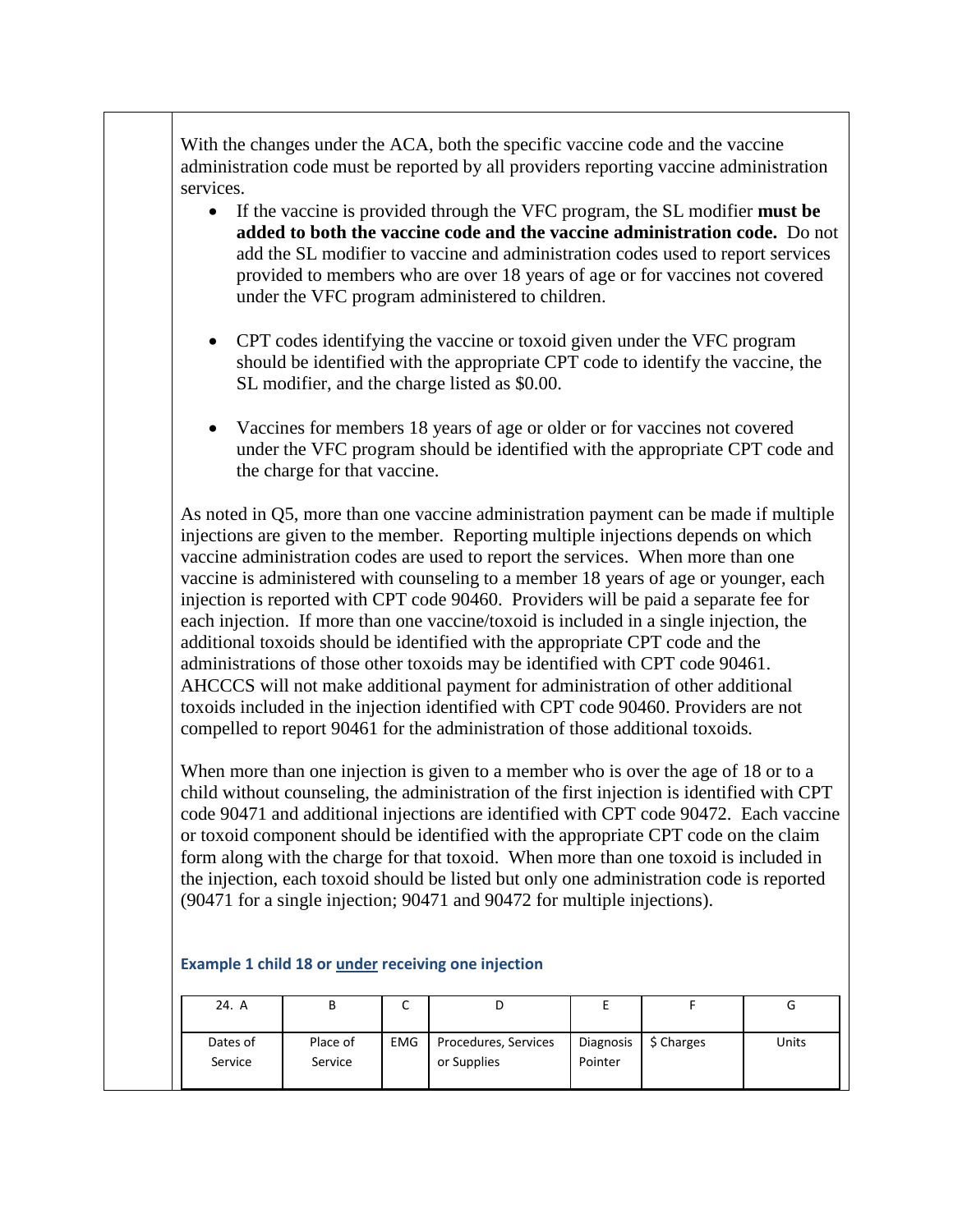With the changes under the ACA, both the specific vaccine code and the vaccine administration code must be reported by all providers reporting vaccine administration services.

- If the vaccine is provided through the VFC program, the SL modifier **must be added to both the vaccine code and the vaccine administration code.** Do not add the SL modifier to vaccine and administration codes used to report services provided to members who are over 18 years of age or for vaccines not covered under the VFC program administered to children.
- CPT codes identifying the vaccine or toxoid given under the VFC program should be identified with the appropriate CPT code to identify the vaccine, the SL modifier, and the charge listed as \$0.00.
- Vaccines for members 18 years of age or older or for vaccines not covered under the VFC program should be identified with the appropriate CPT code and the charge for that vaccine.

As noted in Q5, more than one vaccine administration payment can be made if multiple injections are given to the member. Reporting multiple injections depends on which vaccine administration codes are used to report the services. When more than one vaccine is administered with counseling to a member 18 years of age or younger, each injection is reported with CPT code 90460. Providers will be paid a separate fee for each injection. If more than one vaccine/toxoid is included in a single injection, the additional toxoids should be identified with the appropriate CPT code and the administrations of those other toxoids may be identified with CPT code 90461. AHCCCS will not make additional payment for administration of other additional toxoids included in the injection identified with CPT code 90460. Providers are not compelled to report 90461 for the administration of those additional toxoids.

When more than one injection is given to a member who is over the age of 18 or to a child without counseling, the administration of the first injection is identified with CPT code 90471 and additional injections are identified with CPT code 90472. Each vaccine or toxoid component should be identified with the appropriate CPT code on the claim form along with the charge for that toxoid. When more than one toxoid is included in the injection, each toxoid should be listed but only one administration code is reported (90471 for a single injection; 90471 and 90472 for multiple injections).

|  | 24. A    |          | ֊          |                      |           |                       |       |
|--|----------|----------|------------|----------------------|-----------|-----------------------|-------|
|  |          |          |            |                      |           |                       |       |
|  | Dates of | Place of | <b>EMG</b> | Procedures, Services | Diagnosis | $\frac{1}{2}$ Charges | Units |
|  | Service  | Service  |            | or Supplies          | Pointer   |                       |       |
|  |          |          |            |                      |           |                       |       |

#### **Example 1 child 18 or under receiving one injection**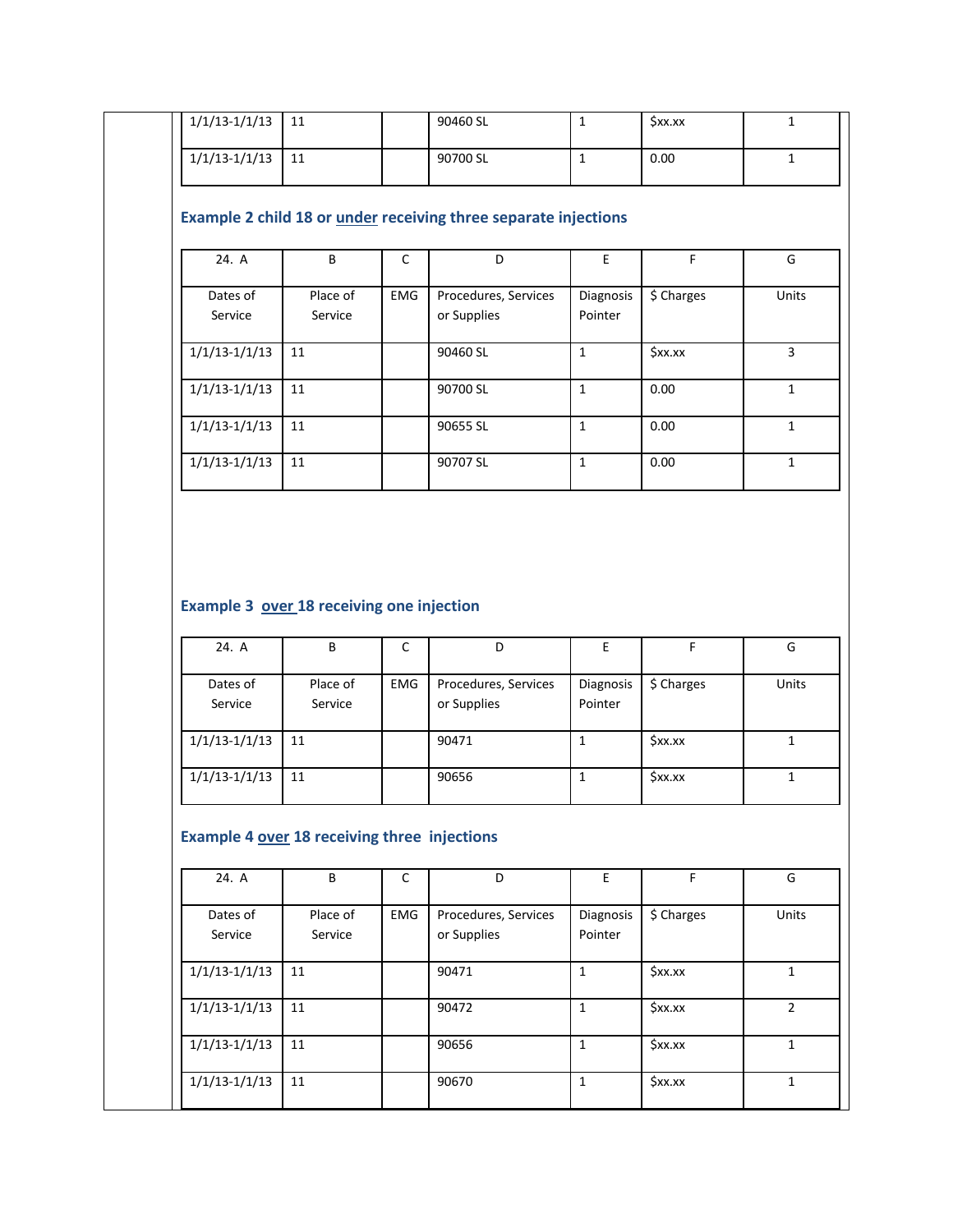| $\frac{1}{1/1}\left(\frac{1}{13}\right)$ -1/1/13 | 11                                                |              | 90460 SL                                                               | $\mathbf 1$          | $\overline{\xi}$ xx.xx | $\mathbf{1}$                                                                               |
|--------------------------------------------------|---------------------------------------------------|--------------|------------------------------------------------------------------------|----------------------|------------------------|--------------------------------------------------------------------------------------------|
| $1/1/13-1/1/13$                                  | 11                                                |              | 90700 SL                                                               | $\mathbf{1}$         | 0.00                   | $\mathbf{1}$                                                                               |
|                                                  |                                                   |              | Example 2 child 18 or <i>under</i> receiving three separate injections |                      |                        |                                                                                            |
| 24. A                                            | B                                                 | $\mathsf{C}$ | D                                                                      | $\mathsf E$          | $\mathsf F$            | G                                                                                          |
| Dates of<br>Service                              | Place of<br>Service                               | EMG          | Procedures, Services<br>or Supplies                                    | Diagnosis<br>Pointer | \$ Charges             | Units                                                                                      |
| $1/1/13 - 1/1/13$                                | 11                                                |              | 90460 SL                                                               | $\mathbf{1}$         | \$xx.xx                | $\overline{3}$                                                                             |
| $1/1/13 - 1/1/13$                                | 11                                                |              | 90700 SL                                                               | $\mathbf{1}$         | 0.00                   | $\mathbf{1}$                                                                               |
| $1/1/13 - 1/1/13$                                | 11                                                |              | 90655 SL                                                               | $\mathbf{1}$         | $0.00\,$               | $\mathbf{1}$                                                                               |
| $1/1/13-1/1/13$                                  | 11                                                |              | 90707 SL                                                               | $\mathbf 1$          | $0.00\,$               | $\mathbf{1}$                                                                               |
|                                                  | Example 3 over 18 receiving one injection         |              |                                                                        |                      |                        |                                                                                            |
| 24. A                                            | B                                                 | $\mathsf{C}$ | D                                                                      | $\mathsf E$          | F                      |                                                                                            |
| Dates of<br>Service                              | Place of<br>Service                               | EMG          | Procedures, Services<br>or Supplies                                    | Diagnosis<br>Pointer | \$ Charges             |                                                                                            |
| $1/1/13-1/1/13$                                  | 11                                                |              | 90471                                                                  | $\mathbf{1}$         | \$xx.xx                |                                                                                            |
| $1/1/13-1/1/13$                                  | 11                                                |              | 90656                                                                  | $\mathbf{1}$         | \$xx.xx                |                                                                                            |
| 24. A                                            | Example 4 over 18 receiving three injections<br>B | $\mathsf C$  | D                                                                      | E.                   | F.                     |                                                                                            |
| Dates of<br>Service                              | Place of<br>Service                               | EMG          | Procedures, Services<br>or Supplies                                    | Diagnosis<br>Pointer | \$ Charges             |                                                                                            |
| $1/1/13-1/1/13$                                  | 11                                                |              | 90471                                                                  | $\mathbf{1}$         | \$xx.xx                |                                                                                            |
| $1/1/13-1/1/13$                                  | 11                                                |              | 90472                                                                  | $\mathbf{1}$         | \$xx.xx                | G<br>Units<br>$\mathbf{1}$<br>$\mathbf{1}$<br>G<br>Units<br>$\mathbf{1}$<br>$\overline{2}$ |
| $1/1/13-1/1/13$                                  | 11                                                |              | 90656                                                                  | $\mathbf{1}$         | \$xx.xx                | $\mathbf{1}$                                                                               |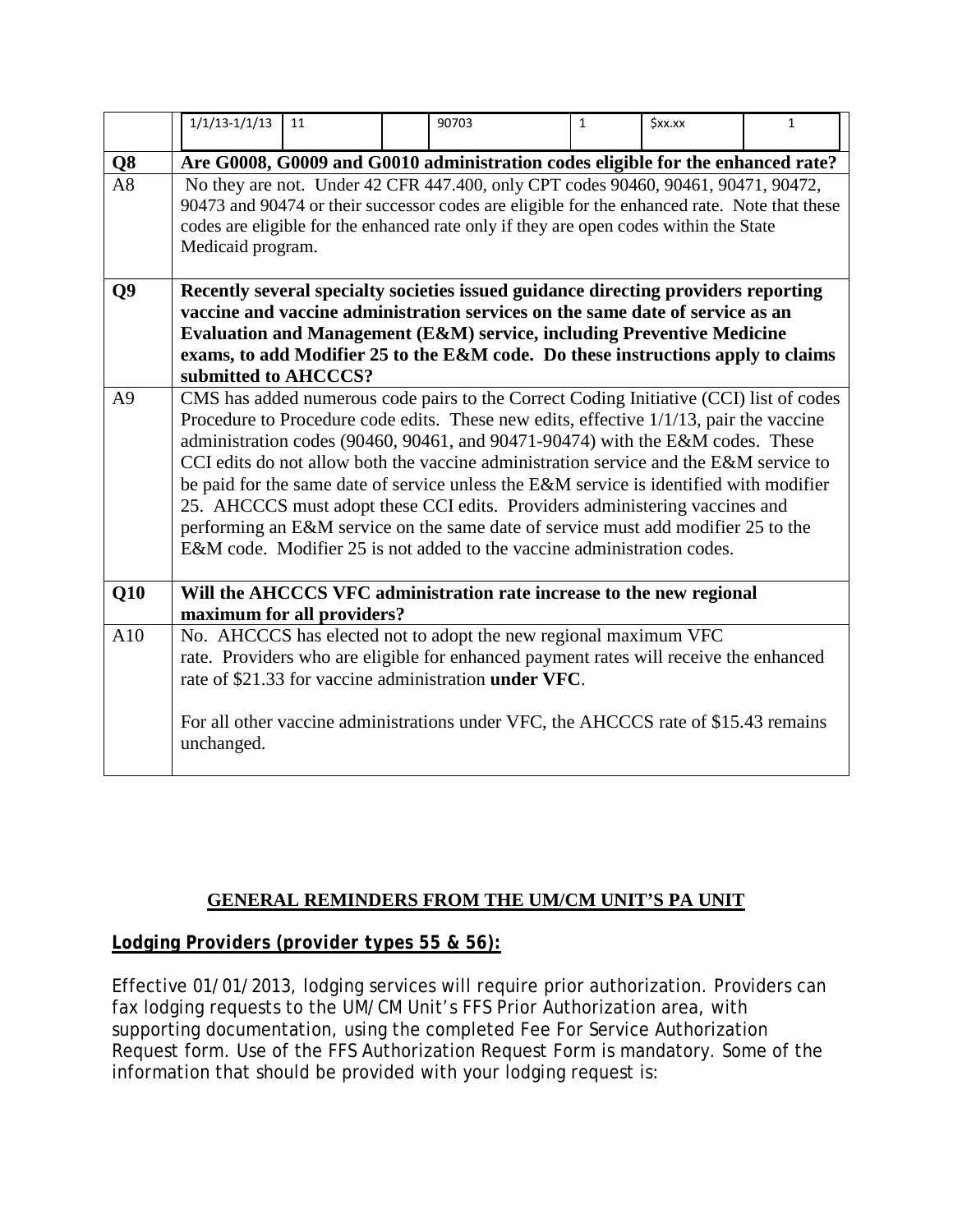|                | $1/1/13 - 1/1/13$                                                                                                                                                                                                                                                                                                                                                                                                                                                                                                                                                                                                                                                                                     | 11 | 90703                                                                                                                                                                                                                                                                                                     | $\mathbf{1}$ | <b>Sxx.xx</b> | $\mathbf{1}$ |  |  |  |
|----------------|-------------------------------------------------------------------------------------------------------------------------------------------------------------------------------------------------------------------------------------------------------------------------------------------------------------------------------------------------------------------------------------------------------------------------------------------------------------------------------------------------------------------------------------------------------------------------------------------------------------------------------------------------------------------------------------------------------|----|-----------------------------------------------------------------------------------------------------------------------------------------------------------------------------------------------------------------------------------------------------------------------------------------------------------|--------------|---------------|--------------|--|--|--|
| Q <sub>8</sub> |                                                                                                                                                                                                                                                                                                                                                                                                                                                                                                                                                                                                                                                                                                       |    |                                                                                                                                                                                                                                                                                                           |              |               |              |  |  |  |
| A8             | Are G0008, G0009 and G0010 administration codes eligible for the enhanced rate?<br>No they are not. Under 42 CFR 447.400, only CPT codes 90460, 90461, 90471, 90472,<br>90473 and 90474 or their successor codes are eligible for the enhanced rate. Note that these<br>codes are eligible for the enhanced rate only if they are open codes within the State<br>Medicaid program.                                                                                                                                                                                                                                                                                                                    |    |                                                                                                                                                                                                                                                                                                           |              |               |              |  |  |  |
| Q <sub>9</sub> | Recently several specialty societies issued guidance directing providers reporting<br>vaccine and vaccine administration services on the same date of service as an<br><b>Evaluation and Management (E&amp;M) service, including Preventive Medicine</b><br>exams, to add Modifier 25 to the E&M code. Do these instructions apply to claims<br>submitted to AHCCCS?                                                                                                                                                                                                                                                                                                                                  |    |                                                                                                                                                                                                                                                                                                           |              |               |              |  |  |  |
| A <sup>9</sup> | CMS has added numerous code pairs to the Correct Coding Initiative (CCI) list of codes<br>Procedure to Procedure code edits. These new edits, effective 1/1/13, pair the vaccine<br>administration codes (90460, 90461, and 90471-90474) with the E&M codes. These<br>CCI edits do not allow both the vaccine administration service and the E&M service to<br>be paid for the same date of service unless the E&M service is identified with modifier<br>25. AHCCCS must adopt these CCI edits. Providers administering vaccines and<br>performing an E&M service on the same date of service must add modifier 25 to the<br>E&M code. Modifier 25 is not added to the vaccine administration codes. |    |                                                                                                                                                                                                                                                                                                           |              |               |              |  |  |  |
| Q10            | Will the AHCCCS VFC administration rate increase to the new regional<br>maximum for all providers?                                                                                                                                                                                                                                                                                                                                                                                                                                                                                                                                                                                                    |    |                                                                                                                                                                                                                                                                                                           |              |               |              |  |  |  |
| A10            | unchanged.                                                                                                                                                                                                                                                                                                                                                                                                                                                                                                                                                                                                                                                                                            |    | No. AHCCCS has elected not to adopt the new regional maximum VFC<br>rate. Providers who are eligible for enhanced payment rates will receive the enhanced<br>rate of \$21.33 for vaccine administration under VFC.<br>For all other vaccine administrations under VFC, the AHCCCS rate of \$15.43 remains |              |               |              |  |  |  |

### **GENERAL REMINDERS FROM THE UM/CM UNIT'S PA UNIT**

### *Lodging Providers (provider types 55 & 56):*

Effective 01/01/2013, lodging services will require prior authorization. Providers can fax lodging requests to the UM/CM Unit's FFS Prior Authorization area, with supporting documentation, using the completed Fee For Service Authorization Request form. Use of the FFS Authorization Request Form is mandatory. Some of the information that should be provided with your lodging request is: